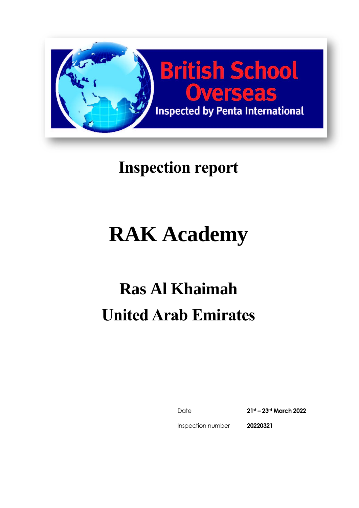

# **RAK Academy**

## **Ras Al Khaimah United Arab Emirates**

Date **21st – 23rd March 2022**

Inspection number **20220321**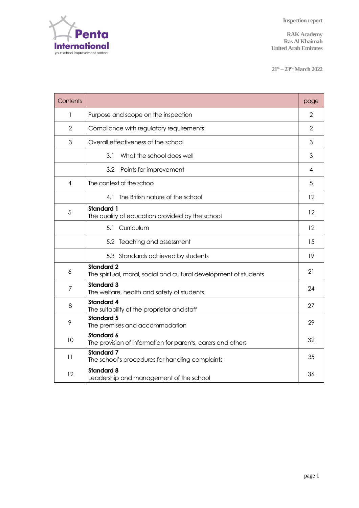

**21 st – 23 rdMarch 2022**

| Contents       |                                                                                        | page           |
|----------------|----------------------------------------------------------------------------------------|----------------|
| 1              | Purpose and scope on the inspection                                                    | $\overline{2}$ |
| $\overline{2}$ | Compliance with regulatory requirements                                                | $\overline{2}$ |
| 3              | Overall effectiveness of the school                                                    | 3              |
|                | 3.1<br>What the school does well                                                       | 3              |
|                | 3.2<br>Points for improvement                                                          | 4              |
| 4              | The context of the school                                                              | 5              |
|                | The British nature of the school<br>4.1                                                | 12             |
| 5              | <b>Standard 1</b><br>The quality of education provided by the school                   | 12             |
|                | 5.1 Curriculum                                                                         | 12             |
|                | 5.2 Teaching and assessment                                                            | 15             |
|                | 5.3 Standards achieved by students                                                     | 19             |
| 6              | <b>Standard 2</b><br>The spiritual, moral, social and cultural development of students | 21             |
| $\overline{7}$ | <b>Standard 3</b><br>The welfare, health and safety of students                        | 24             |
| 8              | <b>Standard 4</b><br>The suitability of the proprietor and staff                       | 27             |
| 9              | <b>Standard 5</b><br>The premises and accommodation                                    | 29             |
| 10             | <b>Standard 6</b><br>The provision of information for parents, carers and others       | 32             |
| 11             | <b>Standard 7</b><br>The school's procedures for handling complaints                   | 35             |
| 12             | <b>Standard 8</b><br>Leadership and management of the school                           | 36             |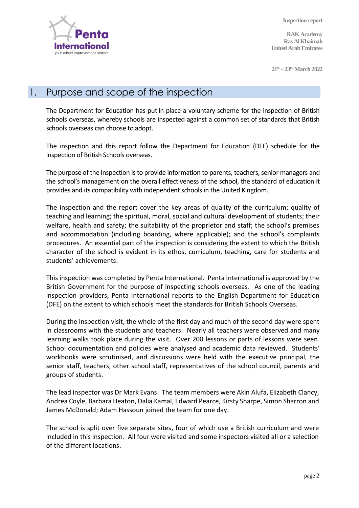**RAKAcademy Ras Al Khaimah United Arab Emirates**

**21 st – 23 rdMarch 2022**



## 1. Purpose and scope of the inspection

The Department for Education has put in place a voluntary scheme for the inspection of British schools overseas, whereby schools are inspected against a common set of standards that British schools overseas can choose to adopt.

The inspection and this report follow the Department for Education (DFE) schedule for the inspection of British Schools overseas.

The purpose of the inspection is to provide information to parents, teachers, senior managers and the school's management on the overall effectiveness of the school, the standard of education it provides and its compatibility with independent schools in the United Kingdom.

The inspection and the report cover the key areas of quality of the curriculum; quality of teaching and learning; the spiritual, moral, social and cultural development of students; their welfare, health and safety; the suitability of the proprietor and staff; the school's premises and accommodation (including boarding, where applicable); and the school's complaints procedures. An essential part of the inspection is considering the extent to which the British character of the school is evident in its ethos, curriculum, teaching, care for students and students' achievements.

This inspection was completed by Penta International. Penta International is approved by the British Government for the purpose of inspecting schools overseas. As one of the leading inspection providers, Penta International reports to the English Department for Education (DFE) on the extent to which schools meet the standards for British Schools Overseas.

During the inspection visit, the whole of the first day and much of the second day were spent in classrooms with the students and teachers. Nearly all teachers were observed and many learning walks took place during the visit. Over 200 lessons or parts of lessons were seen. School documentation and policies were analysed and academic data reviewed. Students' workbooks were scrutinised, and discussions were held with the executive principal, the senior staff, teachers, other school staff, representatives of the school council, parents and groups of students.

The lead inspector was Dr Mark Evans. The team members were Akin Alufa, Elizabeth Clancy, Andrea Coyle, Barbara Heaton, Dalia Kamal, Edward Pearce, Kirsty Sharpe, Simon Sharron and James McDonald; Adam Hassoun joined the team for one day.

The school is split over five separate sites, four of which use a British curriculum and were included in this inspection. All four were visited and some inspectors visited all or a selection of the different locations.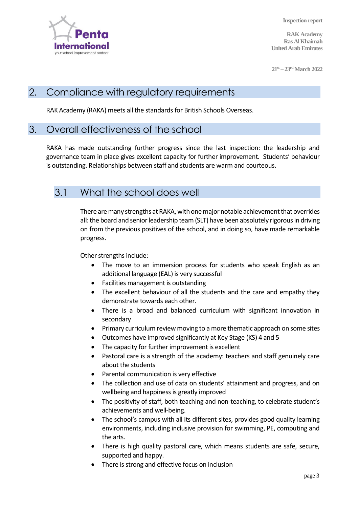

**RAKAcademy Ras Al Khaimah United Arab Emirates**

**21 st – 23 rdMarch 2022**

## 2. Compliance with regulatory requirements

RAK Academy (RAKA) meets all the standards for British Schools Overseas.

### 3. Overall effectiveness of the school

RAKA has made outstanding further progress since the last inspection: the leadership and governance team in place gives excellent capacity for further improvement. Students' behaviour is outstanding. Relationships between staff and students are warm and courteous.

### 3.1 What the school does well

There are many strengths at RAKA, with one major notable achievement that overrides all: the board and senior leadership team (SLT) have been absolutely rigorous in driving on from the previous positives of the school, and in doing so, have made remarkable progress.

#### Other strengths include:

- The move to an immersion process for students who speak English as an additional language (EAL) is very successful
- Facilities management is outstanding
- The excellent behaviour of all the students and the care and empathy they demonstrate towards each other.
- There is a broad and balanced curriculum with significant innovation in secondary
- Primary curriculum review moving to a more thematic approach on some sites
- Outcomes have improved significantly at Key Stage (KS) 4 and 5
- The capacity for further improvement is excellent
- Pastoral care is a strength of the academy: teachers and staff genuinely care about the students
- Parental communication is very effective
- The collection and use of data on students' attainment and progress, and on wellbeing and happiness is greatly improved
- The positivity of staff, both teaching and non-teaching, to celebrate student's achievements and well-being.
- The school's campus with all its different sites, provides good quality learning environments, including inclusive provision for swimming, PE, computing and the arts.
- There is high quality pastoral care, which means students are safe, secure, supported and happy.
- There is strong and effective focus on inclusion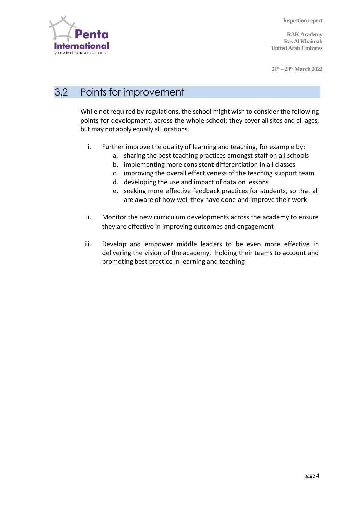Internat vour school improvement partne

**RAKAcademy Ras Al Khaimah United Arab Emirates**

**21 st – 23 rdMarch 2022**

## 3.2 Points for improvement

While not required by regulations, the school might wish to consider the following points for development, across the whole school: they cover all sites and all ages, but may not apply equally all locations.

- i. Further improve the quality of learning and teaching, for example by:
	- a. sharing the best teaching practices amongst staff on all schools
	- b. implementing more consistent differentiation in all classes
	- c. improving the overall effectiveness of the teaching support team
	- d. developing the use and impact of data on lessons
	- e. seeking more effective feedback practices for students, so that all are aware of how well they have done and improve their work
- ii. Monitor the new curriculum developments across the academy to ensure they are effective in improving outcomes and engagement
- iii. Develop and empower middle leaders to be even more effective in delivering the vision of the academy, holding their teams to account and promoting best practice in learning and teaching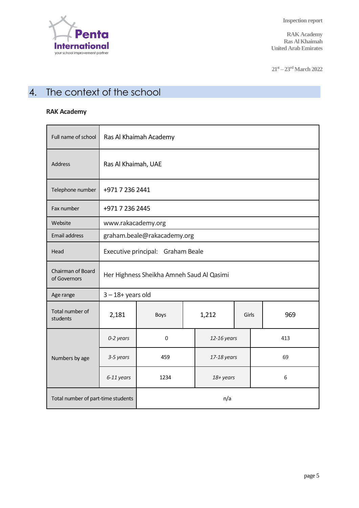

**RAKAcademy Ras Al Khaimah United Arab Emirates**

**21 st – 23 rdMarch 2022**

## 4. The context of the school

#### **RAK Academy**

| Full name of school                | Ras Al Khaimah Academy                    |                               |  |             |  |    |  |  |  |
|------------------------------------|-------------------------------------------|-------------------------------|--|-------------|--|----|--|--|--|
| <b>Address</b>                     | Ras Al Khaimah, UAE                       |                               |  |             |  |    |  |  |  |
| Telephone number                   | +971 7 236 2441                           |                               |  |             |  |    |  |  |  |
| Fax number                         |                                           | +971 7 236 2445               |  |             |  |    |  |  |  |
| Website                            |                                           | www.rakacademy.org            |  |             |  |    |  |  |  |
| <b>Email address</b>               | graham.beale@rakacademy.org               |                               |  |             |  |    |  |  |  |
| Head                               | Executive principal: Graham Beale         |                               |  |             |  |    |  |  |  |
| Chairman of Board<br>of Governors  | Her Highness Sheikha Amneh Saud Al Qasimi |                               |  |             |  |    |  |  |  |
| Age range                          | $3 - 18 +$ years old                      |                               |  |             |  |    |  |  |  |
| Total number of<br>students        | 2,181                                     | 1,212<br>Girls<br>969<br>Boys |  |             |  |    |  |  |  |
| $\mathbf 0$<br>0-2 years           |                                           | 12-16 years                   |  | 413         |  |    |  |  |  |
| Numbers by age                     | 3-5 years                                 | 459                           |  | 17-18 years |  | 69 |  |  |  |
|                                    | 6-11 years                                | 1234                          |  | 18+ years   |  | 6  |  |  |  |
| Total number of part-time students | n/a                                       |                               |  |             |  |    |  |  |  |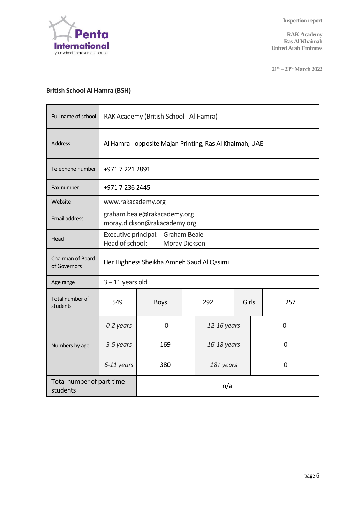

**21 st – 23 rdMarch 2022**

#### **British School Al Hamra (BSH)**

| Full name of school                   | RAK Academy (British School - Al Hamra)                               |                                    |  |             |  |                |          |  |  |
|---------------------------------------|-----------------------------------------------------------------------|------------------------------------|--|-------------|--|----------------|----------|--|--|
| <b>Address</b>                        | Al Hamra - opposite Majan Printing, Ras Al Khaimah, UAE               |                                    |  |             |  |                |          |  |  |
| Telephone number                      | +971 7 221 2891                                                       |                                    |  |             |  |                |          |  |  |
| Fax number                            |                                                                       | +971 7 236 2445                    |  |             |  |                |          |  |  |
| Website                               | www.rakacademy.org                                                    |                                    |  |             |  |                |          |  |  |
| <b>Email address</b>                  | graham.beale@rakacademy.org<br>moray.dickson@rakacademy.org           |                                    |  |             |  |                |          |  |  |
| Head                                  | Executive principal: Graham Beale<br>Head of school:<br>Moray Dickson |                                    |  |             |  |                |          |  |  |
| Chairman of Board<br>of Governors     | Her Highness Sheikha Amneh Saud Al Qasimi                             |                                    |  |             |  |                |          |  |  |
| Age range                             | $3 - 11$ years old                                                    |                                    |  |             |  |                |          |  |  |
| Total number of<br>students           | 549                                                                   | Girls<br>292<br>257<br><b>Boys</b> |  |             |  |                |          |  |  |
|                                       | 0-2 years                                                             | $\overline{0}$                     |  | 12-16 years |  |                | $\Omega$ |  |  |
| Numbers by age                        | 3-5 years                                                             | 169                                |  | 16-18 years |  | $\overline{0}$ |          |  |  |
|                                       | 6-11 years                                                            | 380                                |  | 18+ years   |  | $\Omega$       |          |  |  |
| Total number of part-time<br>students |                                                                       | n/a                                |  |             |  |                |          |  |  |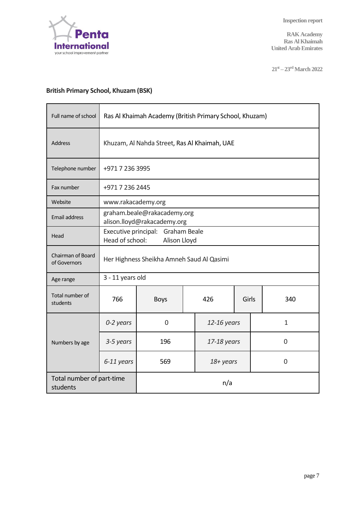

**21 st – 23 rdMarch 2022**

#### **British Primary School, Khuzam (BSK)**

| Full name of school                   | Ras Al Khaimah Academy (British Primary School, Khuzam)              |                                    |  |             |  |                |              |  |
|---------------------------------------|----------------------------------------------------------------------|------------------------------------|--|-------------|--|----------------|--------------|--|
| <b>Address</b>                        | Khuzam, Al Nahda Street, Ras Al Khaimah, UAE                         |                                    |  |             |  |                |              |  |
| Telephone number                      | +971 7 236 3995                                                      |                                    |  |             |  |                |              |  |
| Fax number                            |                                                                      | +971 7 236 2445                    |  |             |  |                |              |  |
| Website                               | www.rakacademy.org                                                   |                                    |  |             |  |                |              |  |
| Email address                         | graham.beale@rakacademy.org<br>alison.lloyd@rakacademy.org           |                                    |  |             |  |                |              |  |
| Head                                  | Executive principal: Graham Beale<br>Head of school:<br>Alison Lloyd |                                    |  |             |  |                |              |  |
| Chairman of Board<br>of Governors     | Her Highness Sheikha Amneh Saud Al Qasimi                            |                                    |  |             |  |                |              |  |
| Age range                             | 3 - 11 years old                                                     |                                    |  |             |  |                |              |  |
| Total number of<br>students           | 766                                                                  | 426<br>Girls<br><b>Boys</b><br>340 |  |             |  |                |              |  |
|                                       | 0-2 years                                                            | $\overline{0}$                     |  | 12-16 years |  |                | $\mathbf{1}$ |  |
| Numbers by age                        | 3-5 years                                                            | 196                                |  | 17-18 years |  | 0              |              |  |
|                                       | 6-11 years                                                           | 569                                |  | 18+ years   |  | $\overline{0}$ |              |  |
| Total number of part-time<br>students |                                                                      | n/a                                |  |             |  |                |              |  |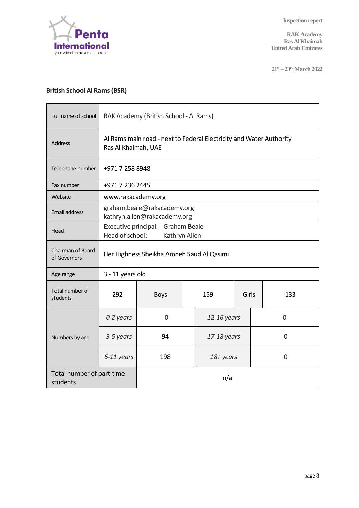

**21 st – 23 rdMarch 2022**

#### **British School Al Rams (BSR)**

| Full name of school                   | RAK Academy (British School - Al Rams)                                                     |                                                             |             |             |           |  |                |  |  |
|---------------------------------------|--------------------------------------------------------------------------------------------|-------------------------------------------------------------|-------------|-------------|-----------|--|----------------|--|--|
| <b>Address</b>                        | Al Rams main road - next to Federal Electricity and Water Authority<br>Ras Al Khaimah, UAE |                                                             |             |             |           |  |                |  |  |
| Telephone number                      | +971 7 258 8948                                                                            |                                                             |             |             |           |  |                |  |  |
| Fax number                            | +971 7 236 2445                                                                            |                                                             |             |             |           |  |                |  |  |
| Website                               | www.rakacademy.org                                                                         |                                                             |             |             |           |  |                |  |  |
| <b>Email address</b>                  |                                                                                            | graham.beale@rakacademy.org<br>kathryn.allen@rakacademy.org |             |             |           |  |                |  |  |
| Head                                  | Executive principal: Graham Beale<br>Head of school:<br>Kathryn Allen                      |                                                             |             |             |           |  |                |  |  |
| Chairman of Board<br>of Governors     | Her Highness Sheikha Amneh Saud Al Qasimi                                                  |                                                             |             |             |           |  |                |  |  |
| Age range                             | 3 - 11 years old                                                                           |                                                             |             |             |           |  |                |  |  |
| Total number of<br>students           | 292                                                                                        | Girls<br><b>Boys</b><br>159<br>133                          |             |             |           |  |                |  |  |
|                                       | 0-2 years                                                                                  | $\mathbf 0$                                                 |             | 12-16 years |           |  | 0              |  |  |
| Numbers by age                        | 3-5 years                                                                                  | 94                                                          | 17-18 years |             |           |  | 0              |  |  |
|                                       | 6-11 years                                                                                 | 198                                                         |             |             | 18+ years |  | $\overline{0}$ |  |  |
| Total number of part-time<br>students |                                                                                            | n/a                                                         |             |             |           |  |                |  |  |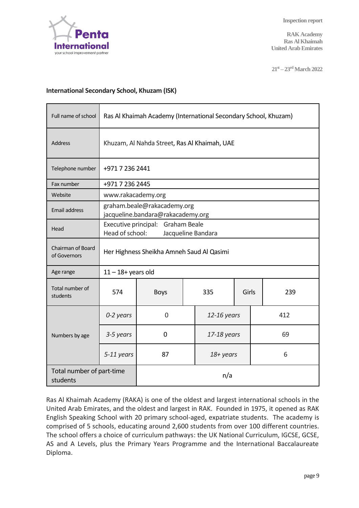

**21 st – 23 rdMarch 2022**

#### **International Secondary School, Khuzam (ISK)**

| Full name of school                   | Ras Al Khaimah Academy (International Secondary School, Khuzam)            |                                                                  |  |             |  |    |     |  |  |
|---------------------------------------|----------------------------------------------------------------------------|------------------------------------------------------------------|--|-------------|--|----|-----|--|--|
| <b>Address</b>                        | Khuzam, Al Nahda Street, Ras Al Khaimah, UAE                               |                                                                  |  |             |  |    |     |  |  |
| Telephone number                      | +971 7 236 2441                                                            |                                                                  |  |             |  |    |     |  |  |
| Fax number                            | +971 7 236 2445                                                            |                                                                  |  |             |  |    |     |  |  |
| Website                               |                                                                            | www.rakacademy.org                                               |  |             |  |    |     |  |  |
| <b>Email address</b>                  |                                                                            | graham.beale@rakacademy.org<br>jacqueline.bandara@rakacademy.org |  |             |  |    |     |  |  |
| Head                                  | Executive principal: Graham Beale<br>Head of school:<br>Jacqueline Bandara |                                                                  |  |             |  |    |     |  |  |
| Chairman of Board<br>of Governors     | Her Highness Sheikha Amneh Saud Al Qasimi                                  |                                                                  |  |             |  |    |     |  |  |
| Age range                             | $11 - 18 +$ years old                                                      |                                                                  |  |             |  |    |     |  |  |
| Total number of<br>students           | 574                                                                        | Girls<br>335<br>239<br><b>Boys</b>                               |  |             |  |    |     |  |  |
|                                       | 0-2 years                                                                  | 0                                                                |  | 12-16 years |  |    | 412 |  |  |
| Numbers by age                        | 3-5 years                                                                  | 0                                                                |  | 17-18 years |  | 69 |     |  |  |
|                                       | 5-11 years                                                                 | 87                                                               |  | 18+ years   |  | 6  |     |  |  |
| Total number of part-time<br>students |                                                                            | n/a                                                              |  |             |  |    |     |  |  |

Ras Al Khaimah Academy (RAKA) is one of the oldest and largest international schools in the United Arab Emirates, and the oldest and largest in RAK. Founded in 1975, it opened as RAK English Speaking School with 20 primary school-aged, expatriate students. The academy is comprised of 5 schools, educating around 2,600 students from over 100 different countries. The school offers a choice of curriculum pathways: the UK National Curriculum, IGCSE, GCSE, AS and A Levels, plus the Primary Years Programme and the International Baccalaureate Diploma.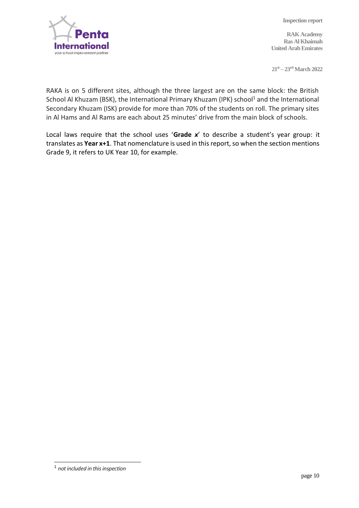

**RAKAcademy Ras Al Khaimah United Arab Emirates**

**21 st – 23 rdMarch 2022**

RAKA is on 5 different sites, although the three largest are on the same block: the British School Al Khuzam (BSK), the International Primary Khuzam (IPK) school<sup>1</sup> and the International Secondary Khuzam (ISK) provide for more than 70% of the students on roll. The primary sites in Al Hams and Al Rams are each about 25 minutes' drive from the main block of schools.

Local laws require that the school uses '**Grade** *x*' to describe a student's year group: it translates as **Year x+1**. That nomenclature is used in this report, so when the section mentions Grade 9, it refers to UK Year 10, for example.

<sup>1</sup> *not included in this inspection*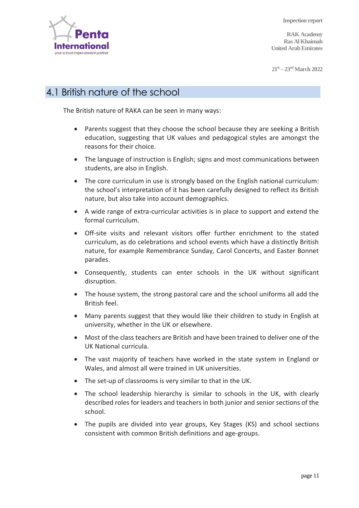

**RAKAcademy Ras Al Khaimah United Arab Emirates**

**21 st – 23 rdMarch 2022**

## 4.1 British nature of the school

The British nature of RAKA can be seen in many ways:

- Parents suggest that they choose the school because they are seeking a British education, suggesting that UK values and pedagogical styles are amongst the reasons for their choice.
- The language of instruction is English; signs and most communications between students, are also in English.
- The core curriculum in use is strongly based on the English national curriculum: the school's interpretation of it has been carefully designed to reflect its British nature, but also take into account demographics.
- A wide range of extra-curricular activities is in place to support and extend the formal curriculum.
- Off-site visits and relevant visitors offer further enrichment to the stated curriculum, as do celebrations and school events which have a distinctly British nature, for example Remembrance Sunday, Carol Concerts, and Easter Bonnet parades.
- Consequently, students can enter schools in the UK without significant disruption.
- The house system, the strong pastoral care and the school uniforms all add the British feel.
- Many parents suggest that they would like their children to study in English at university, whether in the UK or elsewhere.
- Most of the class teachers are British and have been trained to deliver one of the UK National curricula.
- The vast majority of teachers have worked in the state system in England or Wales, and almost all were trained in UK universities.
- The set-up of classrooms is very similar to that in the UK.
- The school leadership hierarchy is similar to schools in the UK, with clearly described roles for leaders and teachers in both junior and senior sections of the school.
- The pupils are divided into year groups, Key Stages (KS) and school sections consistent with common British definitions and age-groups.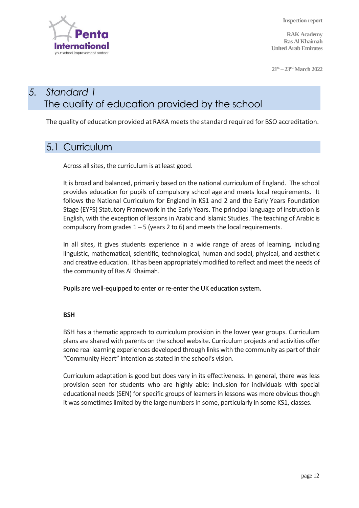**RAKAcademy Ras Al Khaimah United Arab Emirates**

**21 st – 23 rdMarch 2022**

## *5. Standard 1* The quality of education provided by the school

The quality of education provided at RAKA meets the standard required for BSO accreditation.

## 5.1 Curriculum

**Interna** 

vour school improvement part

Across all sites, the curriculum is at least good.

It is broad and balanced, primarily based on the national curriculum of England. The school provides education for pupils of compulsory school age and meets local requirements. It follows the National Curriculum for England in KS1 and 2 and the Early Years Foundation Stage (EYFS) Statutory Framework in the Early Years. The principal language of instruction is English, with the exception of lessons in Arabic and Islamic Studies. The teaching of Arabic is compulsory from grades  $1 - 5$  (years 2 to 6) and meets the local requirements.

In all sites, it gives students experience in a wide range of areas of learning, including linguistic, mathematical, scientific, technological, human and social, physical, and aesthetic and creative education. It has been appropriately modified to reflect and meet the needs of the community of Ras Al Khaimah.

Pupils are well-equipped to enter or re-enter the UK education system.

#### **BSH**

BSH has a thematic approach to curriculum provision in the lower year groups. Curriculum plans are shared with parents on the school website. Curriculum projects and activities offer some real learning experiences developed through links with the community as part of their "Community Heart" intention as stated in the school's vision.

Curriculum adaptation is good but does vary in its effectiveness. In general, there was less provision seen for students who are highly able: inclusion for individuals with special educational needs (SEN) for specific groups of learners in lessons was more obvious though it was sometimes limited by the large numbers in some, particularly in some KS1, classes.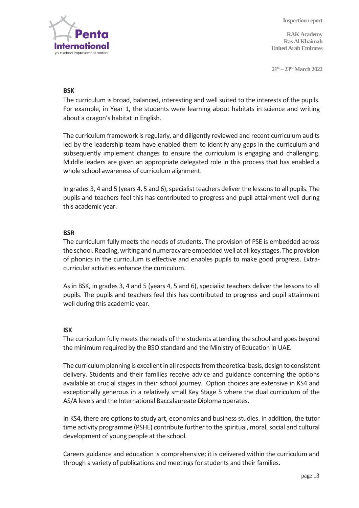

**RAKAcademy Ras Al Khaimah United Arab Emirates**

**21 st – 23 rdMarch 2022**

#### **BSK**

The curriculum is broad, balanced, interesting and well suited to the interests of the pupils. For example, in Year 1, the students were learning about habitats in science and writing about a dragon's habitat in English.

The curriculum framework is regularly, and diligently reviewed and recent curriculum audits led by the leadership team have enabled them to identify any gaps in the curriculum and subsequently implement changes to ensure the curriculum is engaging and challenging. Middle leaders are given an appropriate delegated role in this process that has enabled a whole school awareness of curriculum alignment.

In grades 3, 4 and 5 (years 4, 5 and 6), specialist teachers deliver the lessons to all pupils. The pupils and teachers feel this has contributed to progress and pupil attainment well during this academic year.

#### **BSR**

The curriculum fully meets the needs of students. The provision of PSE is embedded across the school. Reading, writing and numeracy are embedded well at all key stages. The provision of phonics in the curriculum is effective and enables pupils to make good progress. Extracurricular activities enhance the curriculum.

As in BSK, in grades 3, 4 and 5 (years 4, 5 and 6), specialist teachers deliver the lessons to all pupils. The pupils and teachers feel this has contributed to progress and pupil attainment well during this academic year.

#### **ISK**

The curriculum fully meets the needs of the students attending the school and goes beyond the minimum required by the BSO standard and the Ministry of Education in UAE.

The curriculum planning is excellent in all respects from theoretical basis, design to consistent delivery. Students and their families receive advice and guidance concerning the options available at crucial stages in their school journey. Option choices are extensive in KS4 and exceptionally generous in a relatively small Key Stage 5 where the dual curriculum of the AS/A levels and the International Baccalaureate Diploma operates.

In KS4, there are options to study art, economics and business studies. In addition, the tutor time activity programme (PSHE) contribute further to the spiritual, moral, social and cultural development of young people at the school.

Careers guidance and education is comprehensive; it is delivered within the curriculum and through a variety of publications and meetings for students and their families.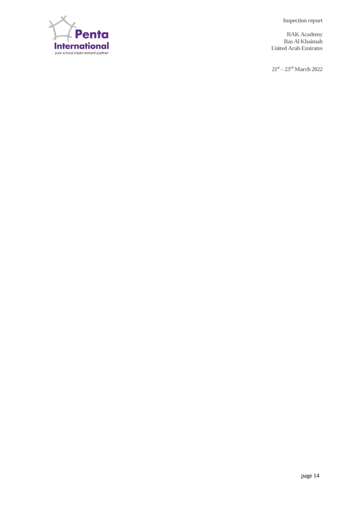**RAKAcademy Ras Al Khaimah United Arab Emirates**

**21 st – 23 rdMarch 2022**

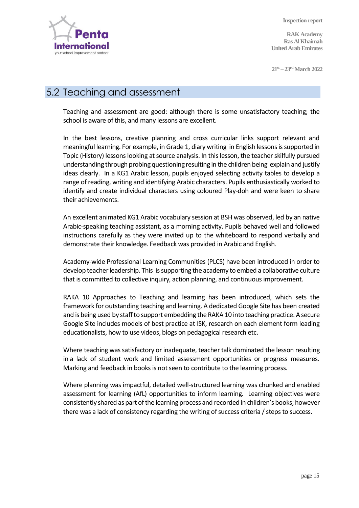Internat vour school improvement partn

 **Inspection report**

**RAKAcademy Ras Al Khaimah United Arab Emirates**

**21 st – 23 rdMarch 2022**

## 5.2 Teaching and assessment

Teaching and assessment are good: although there is some unsatisfactory teaching; the school is aware of this, and many lessons are excellent.

In the best lessons, creative planning and cross curricular links support relevant and meaningful learning. For example, in Grade 1, diary writing in English lessons is supported in Topic (History) lessons looking at source analysis. In this lesson, the teacher skilfully pursued understanding through probing questioning resulting in the children being explain and justify ideas clearly. In a KG1 Arabic lesson, pupils enjoyed selecting activity tables to develop a range of reading, writing and identifying Arabic characters. Pupils enthusiastically worked to identify and create individual characters using coloured Play-doh and were keen to share their achievements.

An excellent animated KG1 Arabic vocabulary session at BSH was observed, led by an native Arabic-speaking teaching assistant, as a morning activity. Pupils behaved well and followed instructions carefully as they were invited up to the whiteboard to respond verbally and demonstrate their knowledge. Feedback was provided in Arabic and English.

Academy-wide Professional Learning Communities (PLCS) have been introduced in order to develop teacher leadership. This is supporting the academy to embed a collaborative culture that is committed to collective inquiry, action planning, and continuous improvement.

RAKA 10 Approaches to Teaching and learning has been introduced, which sets the framework for outstanding teaching and learning. A dedicated Google Site has been created and is being used by staff to support embedding the RAKA 10 into teaching practice. A secure Google Site includes models of best practice at ISK, research on each element form leading educationalists, how to use videos, blogs on pedagogical research etc.

Where teaching was satisfactory or inadequate, teacher talk dominated the lesson resulting in a lack of student work and limited assessment opportunities or progress measures. Marking and feedback in books is not seen to contribute to the learning process.

Where planning was impactful, detailed well-structured learning was chunked and enabled assessment for learning (AfL) opportunities to inform learning. Learning objectives were consistently shared as part of the learning process and recorded in children's books; however there was a lack of consistency regarding the writing of success criteria / steps to success.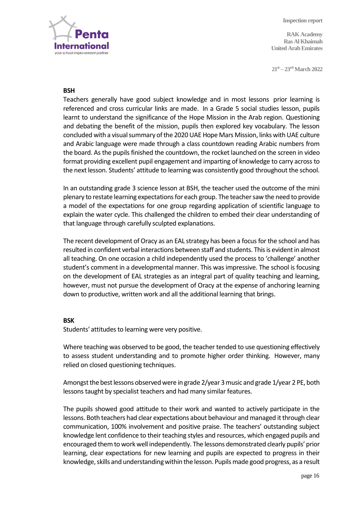

**21 st – 23 rdMarch 2022**

#### **BSH**

Teachers generally have good subject knowledge and in most lessons prior learning is referenced and cross curricular links are made. In a Grade 5 social studies lesson, pupils learnt to understand the significance of the Hope Mission in the Arab region. Questioning and debating the benefit of the mission, pupils then explored key vocabulary. The lesson concluded with a visual summary of the 2020 UAE Hope Mars Mission, links with UAE culture and Arabic language were made through a class countdown reading Arabic numbers from the board. As the pupils finished the countdown, the rocket launched on the screen in video format providing excellent pupil engagement and imparting of knowledge to carry across to the next lesson. Students' attitude to learning was consistently good throughout the school.

In an outstanding grade 3 science lesson at BSH, the teacher used the outcome of the mini plenary to restate learning expectations for each group. The teacher saw the need to provide a model of the expectations for one group regarding application of scientific language to explain the water cycle. This challenged the children to embed their clear understanding of that language through carefully sculpted explanations.

The recent development of Oracy as an EAL strategy has been a focus for the school and has resulted in confident verbal interactions between staff and students. This is evident in almost all teaching. On one occasion a child independently used the process to 'challenge' another student's comment in a developmental manner. This was impressive. The school is focusing on the development of EAL strategies as an integral part of quality teaching and learning, however, must not pursue the development of Oracy at the expense of anchoring learning down to productive, written work and all the additional learning that brings.

#### **BSK**

Students' attitudes to learning were very positive.

Where teaching was observed to be good, the teacher tended to use questioning effectively to assess student understanding and to promote higher order thinking. However, many relied on closed questioning techniques.

Amongst the best lessons observed were in grade 2/year 3 music and grade 1/year 2 PE, both lessons taught by specialist teachers and had many similar features.

The pupils showed good attitude to their work and wanted to actively participate in the lessons. Both teachers had clear expectations about behaviour and managed it through clear communication, 100% involvement and positive praise. The teachers' outstanding subject knowledge lent confidence to their teaching styles and resources, which engaged pupils and encouraged them to work well independently. The lessons demonstrated clearly pupils' prior learning, clear expectations for new learning and pupils are expected to progress in their knowledge, skills and understanding within the lesson. Pupils made good progress, as a result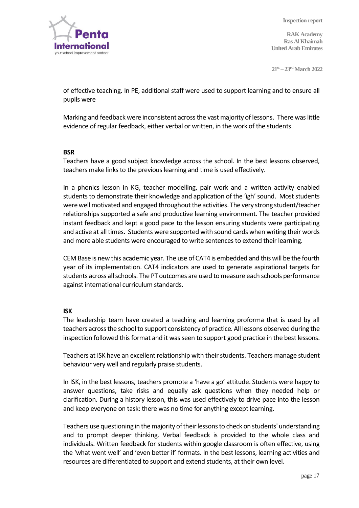

**RAKAcademy Ras Al Khaimah United Arab Emirates**

**21 st – 23 rdMarch 2022**

of effective teaching. In PE, additional staff were used to support learning and to ensure all pupils were

Marking and feedback were inconsistent across the vast majority of lessons. There was little evidence of regular feedback, either verbal or written, in the work of the students.

#### **BSR**

Teachers have a good subject knowledge across the school. In the best lessons observed, teachers make links to the previous learning and time is used effectively.

In a phonics lesson in KG, teacher modelling, pair work and a written activity enabled students to demonstrate their knowledge and application of the 'igh' sound. Most students were well motivated and engaged throughout the activities. The very strong student/teacher relationships supported a safe and productive learning environment. The teacher provided instant feedback and kept a good pace to the lesson ensuring students were participating and active at all times. Students were supported with sound cards when writing their words and more able students were encouraged to write sentences to extend their learning.

CEM Base is new this academic year. The use of CAT4 is embedded and this will be the fourth year of its implementation. CAT4 indicators are used to generate aspirational targets for students across all schools. The PT outcomes are used to measure each schools performance against international curriculum standards.

#### **ISK**

The leadership team have created a teaching and learning proforma that is used by all teachers across the school to support consistency of practice. All lessons observed during the inspection followed this format and it was seen to support good practice in the best lessons.

Teachers at ISK have an excellent relationship with their students. Teachers manage student behaviour very well and regularly praise students.

In ISK, in the best lessons, teachers promote a 'have a go' attitude. Students were happy to answer questions, take risks and equally ask questions when they needed help or clarification. During a history lesson, this was used effectively to drive pace into the lesson and keep everyone on task: there was no time for anything except learning.

Teachers use questioning in the majority of their lessons to check on students' understanding and to prompt deeper thinking. Verbal feedback is provided to the whole class and individuals. Written feedback for students within google classroom is often effective, using the 'what went well' and 'even better if' formats. In the best lessons, learning activities and resources are differentiated to support and extend students, at their own level.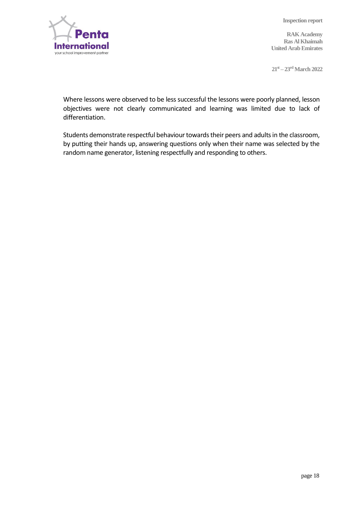

**RAKAcademy Ras Al Khaimah United Arab Emirates**

**21 st – 23 rdMarch 2022**

Where lessons were observed to be less successful the lessons were poorly planned, lesson objectives were not clearly communicated and learning was limited due to lack of differentiation.

Students demonstrate respectful behaviour towards their peers and adults in the classroom, by putting their hands up, answering questions only when their name was selected by the random name generator, listening respectfully and responding to others.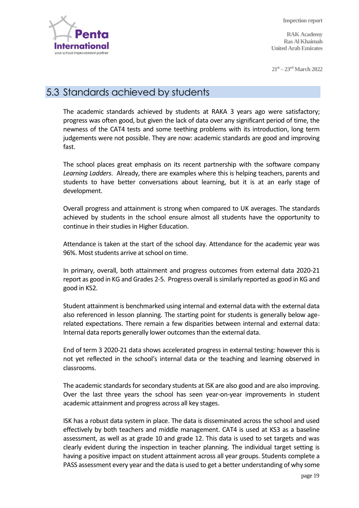**RAKAcademy Ras Al Khaimah United Arab Emirates**

**21 st – 23 rdMarch 2022**



## 5.3 Standards achieved by students

The academic standards achieved by students at RAKA 3 years ago were satisfactory; progress was often good, but given the lack of data over any significant period of time, the newness of the CAT4 tests and some teething problems with its introduction, long term judgements were not possible. They are now: academic standards are good and improving fast.

The school places great emphasis on its recent partnership with the software company *Learning Ladders*. Already, there are examples where this is helping teachers, parents and students to have better conversations about learning, but it is at an early stage of development.

Overall progress and attainment is strong when compared to UK averages. The standards achieved by students in the school ensure almost all students have the opportunity to continue in their studies in Higher Education.

Attendance is taken at the start of the school day. Attendance for the academic year was 96%. Most students arrive at school on time.

In primary, overall, both attainment and progress outcomes from external data 2020-21 report as good in KG and Grades 2-5. Progress overall is similarly reported as good in KG and good in KS2.

Student attainment is benchmarked using internal and external data with the external data also referenced in lesson planning. The starting point for students is generally below agerelated expectations. There remain a few disparities between internal and external data: Internal data reports generally lower outcomes than the external data.

End of term 3 2020-21 data shows accelerated progress in external testing: however this is not yet reflected in the school's internal data or the teaching and learning observed in classrooms.

The academic standards for secondary students at ISK are also good and are also improving. Over the last three years the school has seen year-on-year improvements in student academic attainment and progress across all key stages.

ISK has a robust data system in place. The data is disseminated across the school and used effectively by both teachers and middle management. CAT4 is used at KS3 as a baseline assessment, as well as at grade 10 and grade 12. This data is used to set targets and was clearly evident during the inspection in teacher planning. The individual target setting is having a positive impact on student attainment across all year groups. Students complete a PASS assessment every year and the data is used to get a better understanding of why some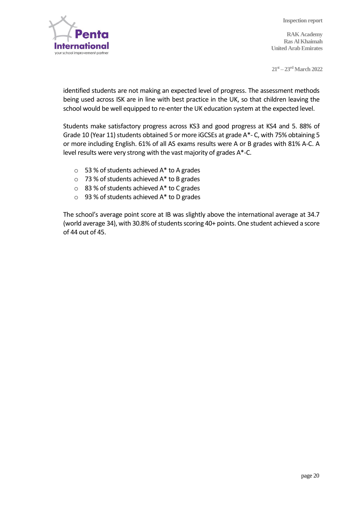

**RAKAcademy Ras Al Khaimah United Arab Emirates**

**21 st – 23 rdMarch 2022**

identified students are not making an expected level of progress. The assessment methods being used across ISK are in line with best practice in the UK, so that children leaving the school would be well equipped to re-enter the UK education system at the expected level.

Students make satisfactory progress across KS3 and good progress at KS4 and 5. 88% of Grade 10 (Year 11) students obtained 5 or more iGCSEs at grade A\*- C, with 75% obtaining 5 or more including English. 61% of all AS exams results were A or B grades with 81% A-C. A level results were very strong with the vast majority of grades A\*-C.

- $\circ$  53 % of students achieved A\* to A grades
- $\circ$  73 % of students achieved A\* to B grades
- $\circ$  83 % of students achieved A\* to C grades
- o 93 % of students achieved A\* to D grades

The school's average point score at IB was slightly above the international average at 34.7 (world average 34), with 30.8% of students scoring 40+ points. One student achieved a score of 44 out of 45.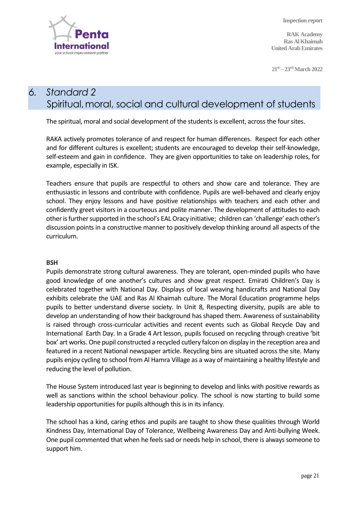

**21 st – 23 rdMarch 2022**

## *6. Standard 2*  Spiritual, moral, social and cultural development of students

The spiritual, moral and social development of the students is excellent, across the four sites.

RAKA actively promotes tolerance of and respect for human differences. Respect for each other and for different cultures is excellent; students are encouraged to develop their self-knowledge, self-esteem and gain in confidence. They are given opportunities to take on leadership roles, for example, especially in ISK.

Teachers ensure that pupils are respectful to others and show care and tolerance. They are enthusiastic in lessons and contribute with confidence. Pupils are well-behaved and clearly enjoy school. They enjoy lessons and have positive relationships with teachers and each other and confidently greet visitors in a courteous and polite manner. The development of attitudes to each other is further supported in the school's EAL Oracy initiative; children can 'challenge' each other's discussion points in a constructive manner to positively develop thinking around all aspects of the curriculum.

#### **BSH**

Pupils demonstrate strong cultural awareness. They are tolerant, open-minded pupils who have good knowledge of one another's cultures and show great respect. Emirati Children's Day is celebrated together with National Day. Displays of local weaving handicrafts and National Day exhibits celebrate the UAE and Ras Al Khaimah culture. The Moral Education programme helps pupils to better understand diverse society. In Unit 8, Respecting diversity, pupils are able to develop an understanding of how their background has shaped them. Awareness of sustainability is raised through cross-curricular activities and recent events such as Global Recycle Day and International Earth Day. In a Grade 4 Art lesson, pupils focused on recycling through creative 'bit box' art works. One pupil constructed a recycled cutlery falcon on display in the reception area and featured in a recent National newspaper article. Recycling bins are situated across the site. Many pupils enjoy cycling to school from Al Hamra Village as a way of maintaining a healthy lifestyle and reducing the level of pollution.

The House System introduced last year is beginning to develop and links with positive rewards as well as sanctions within the school behaviour policy. The school is now starting to build some leadership opportunities for pupils although this is in its infancy.

The school has a kind, caring ethos and pupils are taught to show these qualities through World Kindness Day, International Day of Tolerance, Wellbeing Awareness Day and Anti-bullying Week. One pupil commented that when he feels sad or needs help in school, there is always someone to support him.

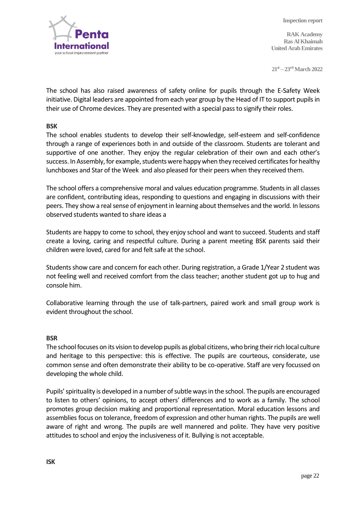Interna vour school improvement part

 **Inspection report**

**RAKAcademy Ras Al Khaimah United Arab Emirates**

**21 st – 23 rdMarch 2022**

The school has also raised awareness of safety online for pupils through the E-Safety Week initiative. Digital leaders are appointed from each year group by the Head of IT to support pupils in their use of Chrome devices. They are presented with a special pass to signify their roles.

#### **BSK**

The school enables students to develop their self-knowledge, self-esteem and self-confidence through a range of experiences both in and outside of the classroom. Students are tolerant and supportive of one another. They enjoy the regular celebration of their own and each other's success. In Assembly, for example, students were happy when they received certificates for healthy lunchboxes and Star of the Week and also pleased for their peers when they received them.

The school offers a comprehensive moral and values education programme. Students in all classes are confident, contributing ideas, responding to questions and engaging in discussions with their peers. They show a real sense of enjoyment in learning about themselves and the world. In lessons observed students wanted to share ideas a

Students are happy to come to school, they enjoy school and want to succeed. Students and staff create a loving, caring and respectful culture. During a parent meeting BSK parents said their children were loved, cared for and felt safe at the school.

Students show care and concern for each other. During registration, a Grade 1/Year 2 student was not feeling well and received comfort from the class teacher; another student got up to hug and console him.

Collaborative learning through the use of talk-partners, paired work and small group work is evident throughout the school.

#### **BSR**

The school focuses on its vision to develop pupils as global citizens, who bring their rich local culture and heritage to this perspective: this is effective. The pupils are courteous, considerate, use common sense and often demonstrate their ability to be co-operative. Staff are very focussed on developing the whole child.

Pupils' spirituality is developed in a number of subtle ways in the school. The pupils are encouraged to listen to others' opinions, to accept others' differences and to work as a family. The school promotes group decision making and proportional representation. Moral education lessons and assemblies focus on tolerance, freedom of expression and other human rights. The pupils are well aware of right and wrong. The pupils are well mannered and polite. They have very positive attitudes to school and enjoy the inclusiveness of it. Bullying is not acceptable.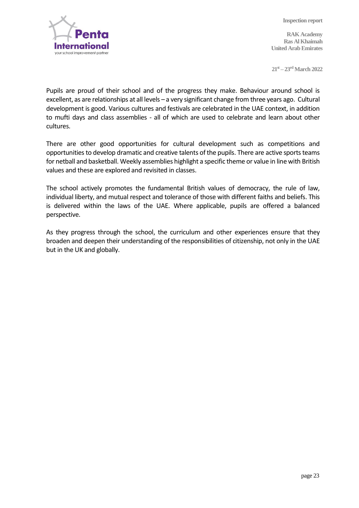

**RAKAcademy Ras Al Khaimah United Arab Emirates**

**21 st – 23 rdMarch 2022**

Pupils are proud of their school and of the progress they make. Behaviour around school is excellent, as are relationships at all levels – a very significant change from three years ago. Cultural development is good. Various cultures and festivals are celebrated in the UAE context, in addition to mufti days and class assemblies - all of which are used to celebrate and learn about other cultures.

There are other good opportunities for cultural development such as competitions and opportunities to develop dramatic and creative talents of the pupils. There are active sports teams for netball and basketball. Weekly assemblies highlight a specific theme or value in line with British values and these are explored and revisited in classes.

The school actively promotes the fundamental British values of democracy, the rule of law, individual liberty, and mutual respect and tolerance of those with different faiths and beliefs. This is delivered within the laws of the UAE. Where applicable, pupils are offered a balanced perspective.

As they progress through the school, the curriculum and other experiences ensure that they broaden and deepen their understanding of the responsibilities of citizenship, not only in the UAE but in the UK and globally.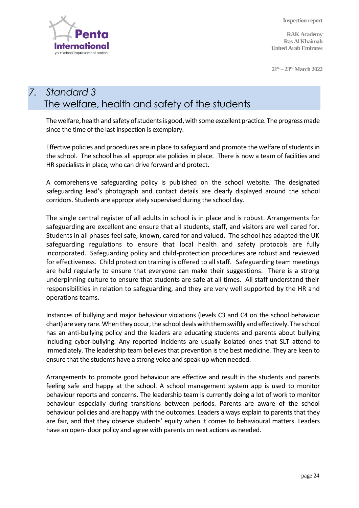**Interna** vour school improvement partne

**RAKAcademy Ras Al Khaimah United Arab Emirates**

**21 st – 23 rdMarch 2022**

## *7. Standard 3* The welfare, health and safety of the students

The welfare, health and safety of students is good, with some excellent practice. The progress made since the time of the last inspection is exemplary.

Effective policies and procedures are in place to safeguard and promote the welfare of students in the school. The school has all appropriate policies in place. There is now a team of facilities and HR specialists in place, who can drive forward and protect.

A comprehensive safeguarding policy is published on the school website. The designated safeguarding lead's photograph and contact details are clearly displayed around the school corridors. Students are appropriately supervised during the school day.

The single central register of all adults in school is in place and is robust. Arrangements for safeguarding are excellent and ensure that all students, staff, and visitors are well cared for. Students in all phases feel safe, known, cared for and valued. The school has adapted the UK safeguarding regulations to ensure that local health and safety protocols are fully incorporated. Safeguarding policy and child-protection procedures are robust and reviewed for effectiveness. Child protection training is offered to all staff. Safeguarding team meetings are held regularly to ensure that everyone can make their suggestions. There is a strong underpinning culture to ensure that students are safe at all times. All staff understand their responsibilities in relation to safeguarding, and they are very well supported by the HR and operations teams.

Instances of bullying and major behaviour violations (levels C3 and C4 on the school behaviour chart) are very rare. When they occur, the school deals with them swiftly and effectively. The school has an anti-bullying policy and the leaders are educating students and parents about bullying including cyber-bullying. Any reported incidents are usually isolated ones that SLT attend to immediately. The leadership team believes that prevention is the best medicine. They are keen to ensure that the students have a strong voice and speak up when needed.

Arrangements to promote good behaviour are effective and result in the students and parents feeling safe and happy at the school. A school management system app is used to monitor behaviour reports and concerns. The leadership team is currently doing a lot of work to monitor behaviour especially during transitions between periods. Parents are aware of the school behaviour policies and are happy with the outcomes. Leaders always explain to parents that they are fair, and that they observe students' equity when it comes to behavioural matters. Leaders have an open- door policy and agree with parents on next actions as needed.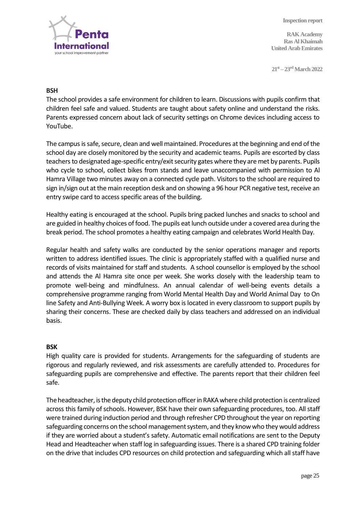**Interna** vour school improvement partne

 **Inspection report**

**RAKAcademy Ras Al Khaimah United Arab Emirates**

**21 st – 23 rdMarch 2022**

#### **BSH**

The school provides a safe environment for children to learn. Discussions with pupils confirm that children feel safe and valued. Students are taught about safety online and understand the risks. Parents expressed concern about lack of security settings on Chrome devices including access to YouTube.

The campus is safe, secure, clean and well maintained. Procedures at the beginning and end of the school day are closely monitored by the security and academic teams. Pupils are escorted by class teachers to designated age-specific entry/exit security gates where they are met by parents. Pupils who cycle to school, collect bikes from stands and leave unaccompanied with permission to Al Hamra Village two minutes away on a connected cycle path. Visitors to the school are required to sign in/sign out at the main reception desk and on showing a 96 hour PCR negative test, receive an entry swipe card to access specific areas of the building.

Healthy eating is encouraged at the school. Pupils bring packed lunches and snacks to school and are guided in healthy choices of food. The pupils eat lunch outside under a covered area during the break period. The school promotes a healthy eating campaign and celebrates World Health Day.

Regular health and safety walks are conducted by the senior operations manager and reports written to address identified issues. The clinic is appropriately staffed with a qualified nurse and records of visits maintained for staff and students. A school counsellor is employed by the school and attends the Al Hamra site once per week. She works closely with the leadership team to promote well-being and mindfulness. An annual calendar of well-being events details a comprehensive programme ranging from World Mental Health Day and World Animal Day to On line Safety and Anti-Bullying Week. A worry box is located in every classroom to support pupils by sharing their concerns. These are checked daily by class teachers and addressed on an individual basis.

#### **BSK**

High quality care is provided for students. Arrangements for the safeguarding of students are rigorous and regularly reviewed, and risk assessments are carefully attended to. Procedures for safeguarding pupils are comprehensive and effective. The parents report that their children feel safe.

The headteacher, is the deputy child protection officer in RAKA where child protection is centralized across this family of schools. However, BSK have their own safeguarding procedures, too. All staff were trained during induction period and through refresher CPD throughout the year on reporting safeguarding concerns on the school management system, and they know who they would address if they are worried about a student's safety. Automatic email notifications are sent to the Deputy Head and Headteacher when staff log in safeguarding issues. There is a shared CPD training folder on the drive that includes CPD resources on child protection and safeguarding which all staff have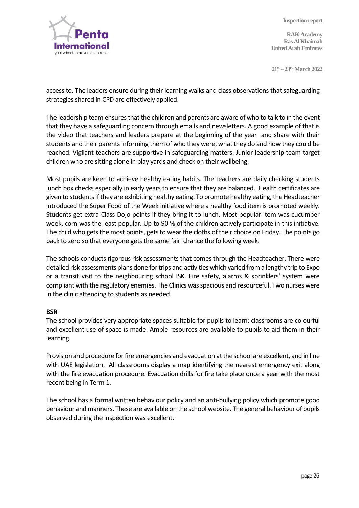

**RAKAcademy Ras Al Khaimah United Arab Emirates**

**21 st – 23 rdMarch 2022**

access to. The leaders ensure during their learning walks and class observations that safeguarding strategies shared in CPD are effectively applied.

The leadership team ensures that the children and parents are aware of who to talk to in the event that they have a safeguarding concern through emails and newsletters. A good example of that is the video that teachers and leaders prepare at the beginning of the year and share with their students and their parents informing them of who they were, what they do and how they could be reached. Vigilant teachers are supportive in safeguarding matters. Junior leadership team target children who are sitting alone in play yards and check on their wellbeing.

Most pupils are keen to achieve healthy eating habits. The teachers are daily checking students lunch box checks especially in early years to ensure that they are balanced. Health certificates are given to students if they are exhibiting healthy eating. To promote healthy eating, the Headteacher introduced the Super Food of the Week initiative where a healthy food item is promoted weekly. Students get extra Class Dojo points if they bring it to lunch. Most popular item was cucumber week, corn was the least popular. Up to 90 % of the children actively participate in this initiative. The child who gets the most points, gets to wear the cloths of their choice on Friday. The points go back to zero so that everyone gets the same fair chance the following week.

The schools conducts rigorous risk assessments that comes through the Headteacher. There were detailed risk assessments plans done for trips and activities which varied from a lengthy trip to Expo or a transit visit to the neighbouring school ISK. Fire safety, alarms & sprinklers' system were compliant with the regulatory enemies. The Clinics was spacious and resourceful. Two nurses were in the clinic attending to students as needed.

#### **BSR**

The school provides very appropriate spaces suitable for pupils to learn: classrooms are colourful and excellent use of space is made. Ample resources are available to pupils to aid them in their learning.

Provision and procedure for fire emergencies and evacuation at the school are excellent, and in line with UAE legislation. All classrooms display a map identifying the nearest emergency exit along with the fire evacuation procedure. Evacuation drills for fire take place once a year with the most recent being in Term 1.

The school has a formal written behaviour policy and an anti-bullying policy which promote good behaviour and manners. These are available on the school website. The general behaviour of pupils observed during the inspection was excellent.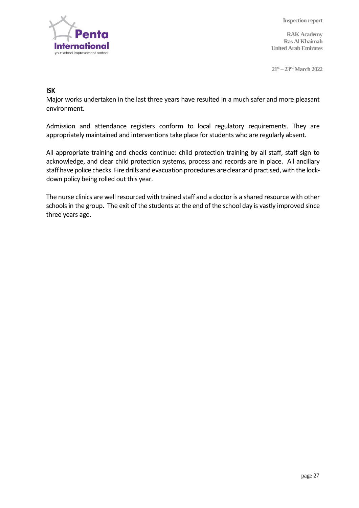

**RAKAcademy Ras Al Khaimah United Arab Emirates**

**21 st – 23 rdMarch 2022**

#### **ISK**

Major works undertaken in the last three years have resulted in a much safer and more pleasant environment.

Admission and attendance registers conform to local regulatory requirements. They are appropriately maintained and interventions take place for students who are regularly absent.

All appropriate training and checks continue: child protection training by all staff, staff sign to acknowledge, and clear child protection systems, process and records are in place. All ancillary staff have police checks. Fire drills and evacuation procedures are clear and practised, with the lockdown policy being rolled out this year.

The nurse clinics are well resourced with trained staff and a doctor is a shared resource with other schools in the group. The exit of the students at the end of the school day is vastly improved since three years ago.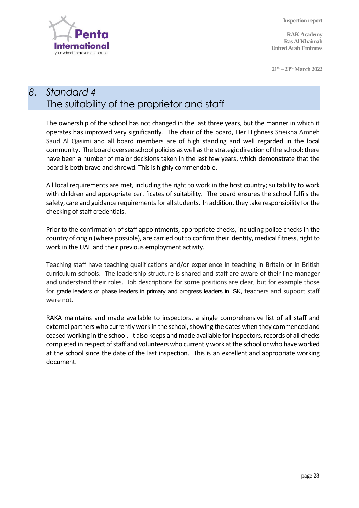Interna vour school improvement partn

 **Inspection report**

**RAKAcademy Ras Al Khaimah United Arab Emirates**

**21 st – 23 rdMarch 2022**

## *8. Standard 4* The suitability of the proprietor and staff

The ownership of the school has not changed in the last three years, but the manner in which it operates has improved very significantly. The chair of the board, Her Highness Sheikha Amneh Saud Al Qasimi and all board members are of high standing and well regarded in the local community. The board oversee school policies as well as the strategic direction of the school: there have been a number of major decisions taken in the last few years, which demonstrate that the board is both brave and shrewd. This is highly commendable.

All local requirements are met, including the right to work in the host country; suitability to work with children and appropriate certificates of suitability. The board ensures the school fulfils the safety, care and guidance requirements for all students. In addition, they take responsibility for the checking of staff credentials.

Prior to the confirmation of staff appointments, appropriate checks, including police checks in the country of origin (where possible), are carried out to confirm their identity, medical fitness, right to work in the UAE and their previous employment activity.

Teaching staff have teaching qualifications and/or experience in teaching in Britain or in British curriculum schools. The leadership structure is shared and staff are aware of their line manager and understand their roles. Job descriptions for some positions are clear, but for example those for grade leaders or phase leaders in primary and progress leaders in ISK, teachers and support staff were not.

RAKA maintains and made available to inspectors, a single comprehensive list of all staff and external partners who currently work in the school, showing the dates when they commenced and ceased working in the school. It also keeps and made available for inspectors, records of all checks completed in respect of staff and volunteers who currently work at the school or who have worked at the school since the date of the last inspection. This is an excellent and appropriate working document.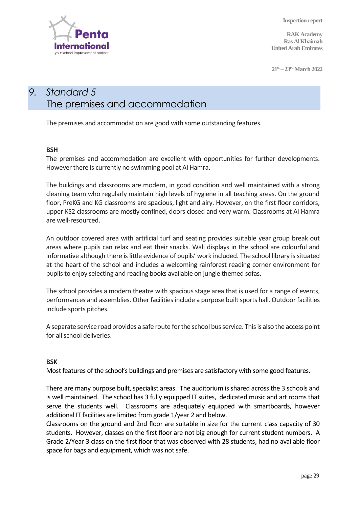**RAKAcademy Ras Al Khaimah United Arab Emirates**

**21 st – 23 rdMarch 2022**

## *9. Standard 5* The premises and accommodation

The premises and accommodation are good with some outstanding features.

#### **BSH**

**Interna** vour school improvement part

The premises and accommodation are excellent with opportunities for further developments. However there is currently no swimming pool at Al Hamra.

The buildings and classrooms are modern, in good condition and well maintained with a strong cleaning team who regularly maintain high levels of hygiene in all teaching areas. On the ground floor, PreKG and KG classrooms are spacious, light and airy. However, on the first floor corridors, upper KS2 classrooms are mostly confined, doors closed and very warm. Classrooms at Al Hamra are well-resourced.

An outdoor covered area with artificial turf and seating provides suitable year group break out areas where pupils can relax and eat their snacks. Wall displays in the school are colourful and informative although there is little evidence of pupils' work included. The school library is situated at the heart of the school and includes a welcoming rainforest reading corner environment for pupils to enjoy selecting and reading books available on jungle themed sofas.

The school provides a modern theatre with spacious stage area that is used for a range of events, performances and assemblies. Other facilities include a purpose built sports hall. Outdoor facilities include sports pitches.

A separate service road provides a safe route for the school bus service. This is also the access point for all school deliveries.

#### **BSK**

Most features of the school's buildings and premises are satisfactory with some good features.

There are many purpose built, specialist areas. The auditorium is shared across the 3 schools and is well maintained. The school has 3 fully equipped IT suites, dedicated music and art rooms that serve the students well. Classrooms are adequately equipped with smartboards, however additional IT facilities are limited from grade 1/year 2 and below.

Classrooms on the ground and 2nd floor are suitable in size for the current class capacity of 30 students. However, classes on the first floor are not big enough for current student numbers. A Grade 2/Year 3 class on the first floor that was observed with 28 students, had no available floor space for bags and equipment, which was not safe.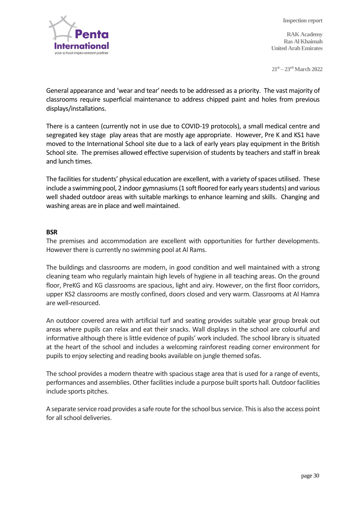

**RAKAcademy Ras Al Khaimah United Arab Emirates**

**21 st – 23 rdMarch 2022**

General appearance and 'wear and tear' needs to be addressed as a priority. The vast majority of classrooms require superficial maintenance to address chipped paint and holes from previous displays/installations.

There is a canteen (currently not in use due to COVID-19 protocols), a small medical centre and segregated key stage play areas that are mostly age appropriate. However, Pre K and KS1 have moved to the International School site due to a lack of early years play equipment in the British School site. The premises allowed effective supervision of students by teachers and staff in break and lunch times.

The facilities for students' physical education are excellent, with a variety of spaces utilised. These include a swimming pool, 2 indoor gymnasiums (1 soft floored for early years students) and various well shaded outdoor areas with suitable markings to enhance learning and skills. Changing and washing areas are in place and well maintained.

#### **BSR**

The premises and accommodation are excellent with opportunities for further developments. However there is currently no swimming pool at Al Rams.

The buildings and classrooms are modern, in good condition and well maintained with a strong cleaning team who regularly maintain high levels of hygiene in all teaching areas. On the ground floor, PreKG and KG classrooms are spacious, light and airy. However, on the first floor corridors, upper KS2 classrooms are mostly confined, doors closed and very warm. Classrooms at Al Hamra are well-resourced.

An outdoor covered area with artificial turf and seating provides suitable year group break out areas where pupils can relax and eat their snacks. Wall displays in the school are colourful and informative although there is little evidence of pupils' work included. The school library is situated at the heart of the school and includes a welcoming rainforest reading corner environment for pupils to enjoy selecting and reading books available on jungle themed sofas.

The school provides a modern theatre with spacious stage area that is used for a range of events, performances and assemblies. Other facilities include a purpose built sports hall. Outdoor facilities include sports pitches.

A separate service road provides a safe route for the school bus service. This is also the access point for all school deliveries.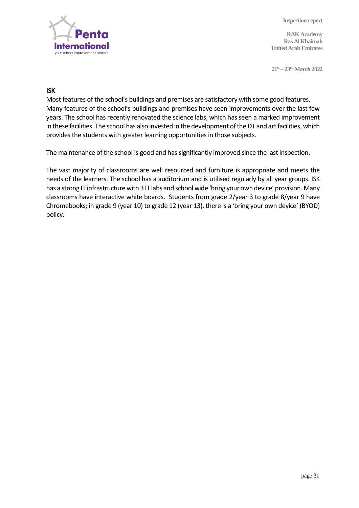

**RAKAcademy Ras Al Khaimah United Arab Emirates**

**21 st – 23 rdMarch 2022**

#### **ISK**

Most features of the school's buildings and premises are satisfactory with some good features. Many features of the school's buildings and premises have seen improvements over the last few years. The school has recently renovated the science labs, which has seen a marked improvement in these facilities. The school has also invested in the development of the DT and art facilities, which provides the students with greater learning opportunities in those subjects.

The maintenance of the school is good and has significantly improved since the last inspection.

The vast majority of classrooms are well resourced and furniture is appropriate and meets the needs of the learners. The school has a auditorium and is utilised regularly by all year groups. ISK has a strong IT infrastructure with 3 IT labs and school wide 'bring your own device' provision. Many classrooms have interactive white boards. Students from grade 2/year 3 to grade 8/year 9 have Chromebooks; in grade 9 (year 10) to grade 12 (year 13), there is a 'bring your own device' (BYOD) policy.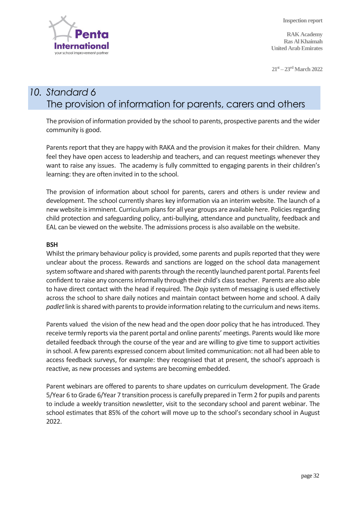**21 st – 23 rdMarch 2022**

## *10. Standard 6* The provision of information for parents, carers and others

The provision of information provided by the school to parents, prospective parents and the wider community is good.

Parents report that they are happy with RAKA and the provision it makes for their children. Many feel they have open access to leadership and teachers, and can request meetings whenever they want to raise any issues. The academy is fully committed to engaging parents in their children's learning: they are often invited in to the school.

The provision of information about school for parents, carers and others is under review and development. The school currently shares key information via an interim website. The launch of a new website is imminent. Curriculum plans for all year groups are available here. Policies regarding child protection and safeguarding policy, anti-bullying, attendance and punctuality, feedback and EAL can be viewed on the website. The admissions process is also available on the website.

#### **BSH**

Whilst the primary behaviour policy is provided, some parents and pupils reported that they were unclear about the process. Rewards and sanctions are logged on the school data management system software and shared with parents through the recently launched parent portal. Parents feel confident to raise any concerns informally through their child's class teacher. Parents are also able to have direct contact with the head if required. The *Dojo* system of messaging is used effectively across the school to share daily notices and maintain contact between home and school. A daily *padlet*link is shared with parents to provide information relating to the curriculum and news items.

Parents valued the vision of the new head and the open door policy that he has introduced. They receive termly reports via the parent portal and online parents' meetings. Parents would like more detailed feedback through the course of the year and are willing to give time to support activities in school. A few parents expressed concern about limited communication: not all had been able to access feedback surveys, for example: they recognised that at present, the school's approach is reactive, as new processes and systems are becoming embedded.

Parent webinars are offered to parents to share updates on curriculum development. The Grade 5/Year 6 to Grade 6/Year 7 transition process is carefully prepared in Term 2 for pupils and parents to include a weekly transition newsletter, visit to the secondary school and parent webinar. The school estimates that 85% of the cohort will move up to the school's secondary school in August 2022.

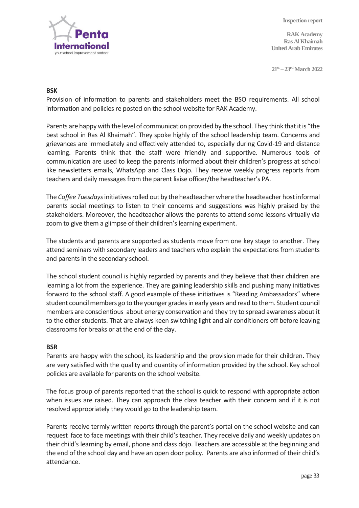

**RAKAcademy Ras Al Khaimah United Arab Emirates**

**21 st – 23 rdMarch 2022**

#### **BSK**

Provision of information to parents and stakeholders meet the BSO requirements. All school information and policies re posted on the school website for RAK Academy.

Parents are happy with the level of communication provided by the school. They think that it is "the best school in Ras Al Khaimah". They spoke highly of the school leadership team. Concerns and grievances are immediately and effectively attended to, especially during Covid-19 and distance learning. Parents think that the staff were friendly and supportive. Numerous tools of communication are used to keep the parents informed about their children's progress at school like newsletters emails, WhatsApp and Class Dojo. They receive weekly progress reports from teachers and daily messages from the parent liaise officer/the headteacher's PA.

The *Coffee Tuesdays*initiatives rolled out by the headteacher where the headteacher host informal parents social meetings to listen to their concerns and suggestions was highly praised by the stakeholders. Moreover, the headteacher allows the parents to attend some lessons virtually via zoom to give them a glimpse of their children's learning experiment.

The students and parents are supported as students move from one key stage to another. They attend seminars with secondary leaders and teachers who explain the expectations from students and parents in the secondary school.

The school student council is highly regarded by parents and they believe that their children are learning a lot from the experience. They are gaining leadership skills and pushing many initiatives forward to the school staff. A good example of these initiatives is "Reading Ambassadors" where student council members go to the younger grades in early years and read to them. Student council members are conscientious about energy conservation and they try to spread awareness about it to the other students. That are always keen switching light and air conditioners off before leaving classrooms for breaks or at the end of the day.

#### **BSR**

Parents are happy with the school, its leadership and the provision made for their children. They are very satisfied with the quality and quantity of information provided by the school. Key school policies are available for parents on the school website.

The focus group of parents reported that the school is quick to respond with appropriate action when issues are raised. They can approach the class teacher with their concern and if it is not resolved appropriately they would go to the leadership team.

Parents receive termly written reports through the parent's portal on the school website and can request face to face meetings with their child's teacher. They receive daily and weekly updates on their child's learning by email, phone and class dojo. Teachers are accessible at the beginning and the end of the school day and have an open door policy. Parents are also informed of their child's attendance.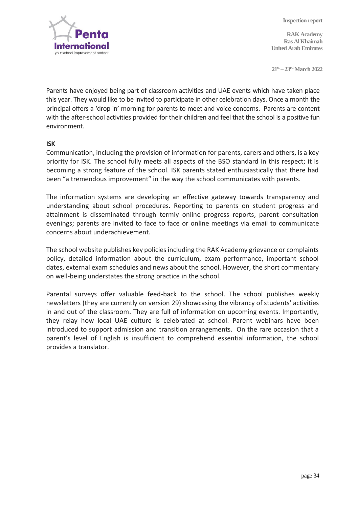**RAKAcademy Ras Al Khaimah United Arab Emirates**

**21 st – 23 rdMarch 2022**



Parents have enjoyed being part of classroom activities and UAE events which have taken place this year. They would like to be invited to participate in other celebration days. Once a month the principal offers a 'drop in' morning for parents to meet and voice concerns. Parents are content with the after-school activities provided for their children and feel that the school is a positive fun environment.

**ISK**

Communication, including the provision of information for parents, carers and others, is a key priority for ISK. The school fully meets all aspects of the BSO standard in this respect; it is becoming a strong feature of the school. ISK parents stated enthusiastically that there had been "a tremendous improvement" in the way the school communicates with parents.

The information systems are developing an effective gateway towards transparency and understanding about school procedures. Reporting to parents on student progress and attainment is disseminated through termly online progress reports, parent consultation evenings; parents are invited to face to face or online meetings via email to communicate concerns about underachievement.

The school website publishes key policies including the RAK Academy grievance or complaints policy, detailed information about the curriculum, exam performance, important school dates, external exam schedules and news about the school. However, the short commentary on well-being understates the strong practice in the school.

Parental surveys offer valuable feed-back to the school. The school publishes weekly newsletters (they are currently on version 29) showcasing the vibrancy of students' activities in and out of the classroom. They are full of information on upcoming events. Importantly, they relay how local UAE culture is celebrated at school. Parent webinars have been introduced to support admission and transition arrangements. On the rare occasion that a parent's level of English is insufficient to comprehend essential information, the school provides a translator.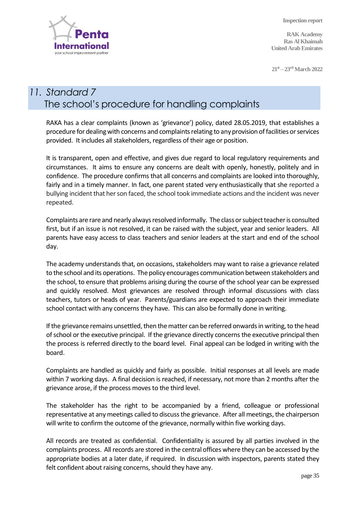Interna vour school improvement partn

 **Inspection report**

**RAKAcademy Ras Al Khaimah United Arab Emirates**

**21 st – 23 rdMarch 2022**

## *11. Standard 7* The school's procedure for handling complaints

RAKA has a clear complaints (known as 'grievance') policy, dated 28.05.2019, that establishes a procedure for dealing with concerns and complaints relating to any provision of facilities or services provided. It includes all stakeholders, regardless of their age or position.

It is transparent, open and effective, and gives due regard to local regulatory requirements and circumstances. It aims to ensure any concerns are dealt with openly, honestly, politely and in confidence. The procedure confirms that all concerns and complaints are looked into thoroughly, fairly and in a timely manner. In fact, one parent stated very enthusiastically that she reported a bullying incident that her son faced, the school took immediate actions and the incident was never repeated.

Complaints are rare and nearly always resolved informally. The class or subject teacher is consulted first, but if an issue is not resolved, it can be raised with the subject, year and senior leaders. All parents have easy access to class teachers and senior leaders at the start and end of the school day.

The academy understands that, on occasions, stakeholders may want to raise a grievance related to the school and its operations. The policy encourages communication between stakeholders and the school, to ensure that problems arising during the course of the school year can be expressed and quickly resolved. Most grievances are resolved through informal discussions with class teachers, tutors or heads of year. Parents/guardians are expected to approach their immediate school contact with any concerns they have. This can also be formally done in writing.

If the grievance remains unsettled, then the matter can be referred onwards in writing, to the head of school or the executive principal. If the grievance directly concerns the executive principal then the process is referred directly to the board level. Final appeal can be lodged in writing with the board.

Complaints are handled as quickly and fairly as possible. Initial responses at all levels are made within 7 working days. A final decision is reached, if necessary, not more than 2 months after the grievance arose, if the process moves to the third level.

The stakeholder has the right to be accompanied by a friend, colleague or professional representative at any meetings called to discuss the grievance. After all meetings, the chairperson will write to confirm the outcome of the grievance, normally within five working days.

All records are treated as confidential. Confidentiality is assured by all parties involved in the complaints process. All records are stored in the central offices where they can be accessed by the appropriate bodies at a later date, if required. In discussion with inspectors, parents stated they felt confident about raising concerns, should they have any.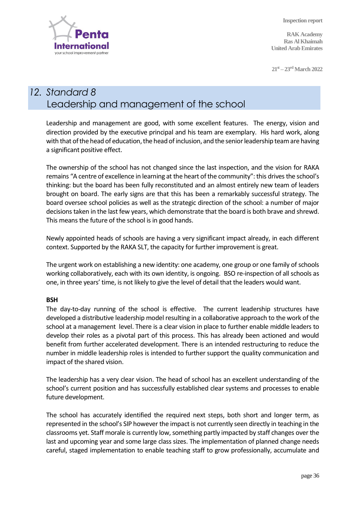**Interna** vour school improvement partn

**RAKAcademy Ras Al Khaimah United Arab Emirates**

**21 st – 23 rdMarch 2022**

## *12. Standard 8*  Leadership and management of the school

Leadership and management are good, with some excellent features. The energy, vision and direction provided by the executive principal and his team are exemplary. His hard work, along with that of the head of education, the head of inclusion, and the senior leadership team are having a significant positive effect.

The ownership of the school has not changed since the last inspection, and the vision for RAKA remains "A centre of excellence in learning at the heart of the community": this drives the school's thinking: but the board has been fully reconstituted and an almost entirely new team of leaders brought on board. The early signs are that this has been a remarkably successful strategy. The board oversee school policies as well as the strategic direction of the school: a number of major decisions taken in the last few years, which demonstrate that the board is both brave and shrewd. This means the future of the school is in good hands.

Newly appointed heads of schools are having a very significant impact already, in each different context. Supported by the RAKA SLT, the capacity for further improvement is great.

The urgent work on establishing a new identity: one academy, one group or one family of schools working collaboratively, each with its own identity, is ongoing. BSO re-inspection of all schools as one, in three years' time, is not likely to give the level of detail that the leaders would want.

#### **BSH**

The day-to-day running of the school is effective. The current leadership structures have developed a distributive leadership model resulting in a collaborative approach to the work of the school at a management level. There is a clear vision in place to further enable middle leaders to develop their roles as a pivotal part of this process. This has already been actioned and would benefit from further accelerated development. There is an intended restructuring to reduce the number in middle leadership roles is intended to further support the quality communication and impact of the shared vision.

The leadership has a very clear vision. The head of school has an excellent understanding of the school's current position and has successfully established clear systems and processes to enable future development.

The school has accurately identified the required next steps, both short and longer term, as represented in the school's SIP however the impact is not currently seen directly in teaching in the classrooms yet. Staff morale is currently low, something partly impacted by staff changes over the last and upcoming year and some large class sizes. The implementation of planned change needs careful, staged implementation to enable teaching staff to grow professionally, accumulate and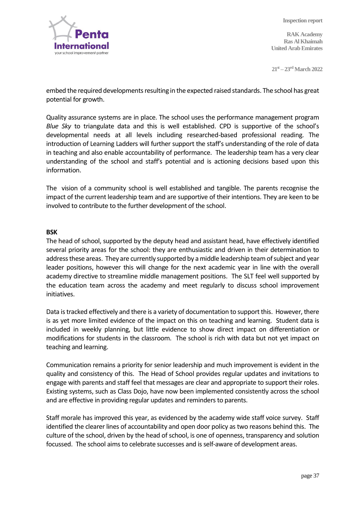

**RAKAcademy Ras Al Khaimah United Arab Emirates**

**21 st – 23 rdMarch 2022**

embed the required developments resulting in the expected raised standards. The school has great potential for growth.

Quality assurance systems are in place. The school uses the performance management program *Blue Sky* to triangulate data and this is well established. CPD is supportive of the school's developmental needs at all levels including researched-based professional reading. The introduction of Learning Ladders will further support the staff's understanding of the role of data in teaching and also enable accountability of performance. The leadership team has a very clear understanding of the school and staff's potential and is actioning decisions based upon this information.

The vision of a community school is well established and tangible. The parents recognise the impact of the current leadership team and are supportive of their intentions. They are keen to be involved to contribute to the further development of the school.

#### **BSK**

The head of school, supported by the deputy head and assistant head, have effectively identified several priority areas for the school: they are enthusiastic and driven in their determination to address these areas. They are currently supported by a middle leadership team of subject and year leader positions, however this will change for the next academic year in line with the overall academy directive to streamline middle management positions. The SLT feel well supported by the education team across the academy and meet regularly to discuss school improvement initiatives.

Data is tracked effectively and there is a variety of documentation to support this. However, there is as yet more limited evidence of the impact on this on teaching and learning. Student data is included in weekly planning, but little evidence to show direct impact on differentiation or modifications for students in the classroom. The school is rich with data but not yet impact on teaching and learning.

Communication remains a priority for senior leadership and much improvement is evident in the quality and consistency of this. The Head of School provides regular updates and invitations to engage with parents and staff feel that messages are clear and appropriate to support their roles. Existing systems, such as Class Dojo, have now been implemented consistently across the school and are effective in providing regular updates and reminders to parents.

Staff morale has improved this year, as evidenced by the academy wide staff voice survey. Staff identified the clearer lines of accountability and open door policy as two reasons behind this. The culture of the school, driven by the head of school, is one of openness, transparency and solution focussed. The school aims to celebrate successes and is self-aware of development areas.